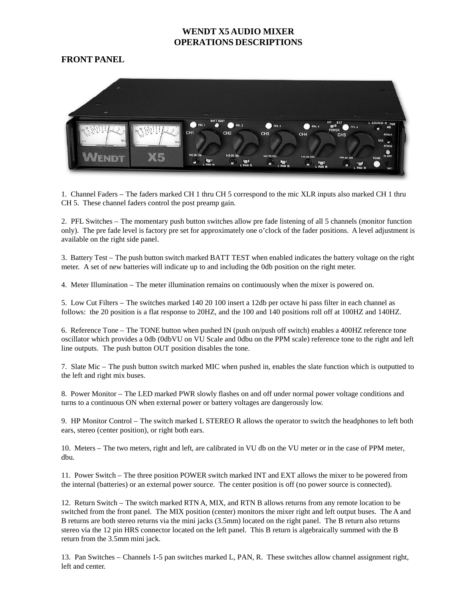#### **FRONT PANEL**



1. Channel Faders – The faders marked CH 1 thru CH 5 correspond to the mic XLR inputs also marked CH 1 thru CH 5. These channel faders control the post preamp gain.

2. PFL Switches – The momentary push button switches allow pre fade listening of all 5 channels (monitor function only). The pre fade level is factory pre set for approximately one o'clock of the fader positions. A level adjustment is available on the right side panel.

3. Battery Test – The push button switch marked BATT TEST when enabled indicates the battery voltage on the right meter. A set of new batteries will indicate up to and including the 0db position on the right meter.

4. Meter Illumination – The meter illumination remains on continuously when the mixer is powered on.

5. Low Cut Filters – The switches marked 140 20 100 insert a 12db per octave hi pass filter in each channel as follows: the 20 position is a flat response to 20HZ, and the 100 and 140 positions roll off at 100HZ and 140HZ.

6. Reference Tone – The TONE button when pushed IN (push on/push off switch) enables a 400HZ reference tone oscillator which provides a 0db (0dbVU on VU Scale and 0dbu on the PPM scale) reference tone to the right and left line outputs. The push button OUT position disables the tone.

7. Slate Mic – The push button switch marked MIC when pushed in, enables the slate function which is outputted to the left and right mix buses.

8. Power Monitor – The LED marked PWR slowly flashes on and off under normal power voltage conditions and turns to a continuous ON when external power or battery voltages are dangerously low.

9. HP Monitor Control – The switch marked L STEREO R allows the operator to switch the headphones to left both ears, stereo (center position), or right both ears.

10. Meters – The two meters, right and left, are calibrated in VU db on the VU meter or in the case of PPM meter, dbu.

11. Power Switch – The three position POWER switch marked INT and EXT allows the mixer to be powered from the internal (batteries) or an external power source. The center position is off (no power source is connected).

12. Return Switch – The switch marked RTN A, MIX, and RTN B allows returns from any remote location to be switched from the front panel. The MIX position (center) monitors the mixer right and left output buses. The A and B returns are both stereo returns via the mini jacks (3.5mm) located on the right panel. The B return also returns stereo via the 12 pin HRS connector located on the left panel. This B return is algebraically summed with the B return from the 3.5mm mini jack.

13. Pan Switches – Channels 1-5 pan switches marked L, PAN, R. These switches allow channel assignment right, left and center.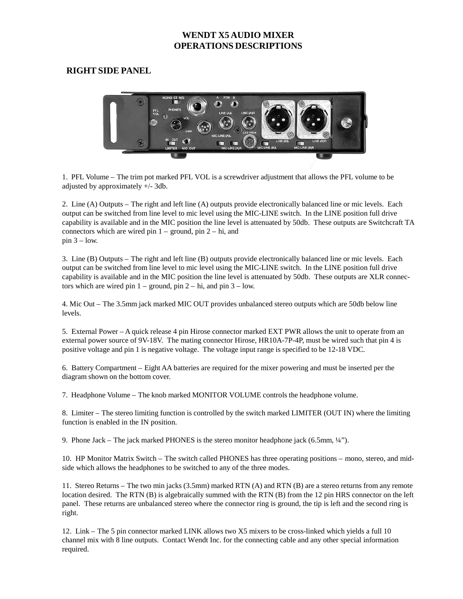# **RIGHT SIDE PANEL**



1. PFL Volume – The trim pot marked PFL VOL is a screwdriver adjustment that allows the PFL volume to be adjusted by approximately +/- 3db.

2. Line (A) Outputs – The right and left line (A) outputs provide electronically balanced line or mic levels. Each output can be switched from line level to mic level using the MIC-LINE switch. In the LINE position full drive capability is available and in the MIC position the line level is attenuated by 50db. These outputs are Switchcraft TA connectors which are wired pin  $1 -$  ground, pin  $2 -$  hi, and  $pin 3 - low.$ 

3. Line (B) Outputs – The right and left line (B) outputs provide electronically balanced line or mic levels. Each output can be switched from line level to mic level using the MIC-LINE switch. In the LINE position full drive capability is available and in the MIC position the line level is attenuated by 50db. These outputs are XLR connectors which are wired pin  $1 -$  ground, pin  $2 -$  hi, and pin  $3 -$  low.

4. Mic Out – The 3.5mm jack marked MIC OUT provides unbalanced stereo outputs which are 50db below line levels.

5. External Power – A quick release 4 pin Hirose connector marked EXT PWR allows the unit to operate from an external power source of 9V-18V. The mating connector Hirose, HR10A-7P-4P, must be wired such that pin 4 is positive voltage and pin 1 is negative voltage. The voltage input range is specified to be 12-18 VDC.

6. Battery Compartment – Eight AA batteries are required for the mixer powering and must be inserted per the diagram shown on the bottom cover.

7. Headphone Volume – The knob marked MONITOR VOLUME controls the headphone volume.

8. Limiter – The stereo limiting function is controlled by the switch marked LIMITER (OUT IN) where the limiting function is enabled in the IN position.

9. Phone Jack – The jack marked PHONES is the stereo monitor headphone jack (6.5mm, ¼").

10. HP Monitor Matrix Switch – The switch called PHONES has three operating positions – mono, stereo, and midside which allows the headphones to be switched to any of the three modes.

11. Stereo Returns – The two min jacks (3.5mm) marked RTN (A) and RTN (B) are a stereo returns from any remote location desired. The RTN (B) is algebraically summed with the RTN (B) from the 12 pin HRS connector on the left panel. These returns are unbalanced stereo where the connector ring is ground, the tip is left and the second ring is right.

12. Link – The 5 pin connector marked LINK allows two X5 mixers to be cross-linked which yields a full 10 channel mix with 8 line outputs. Contact Wendt Inc. for the connecting cable and any other special information required.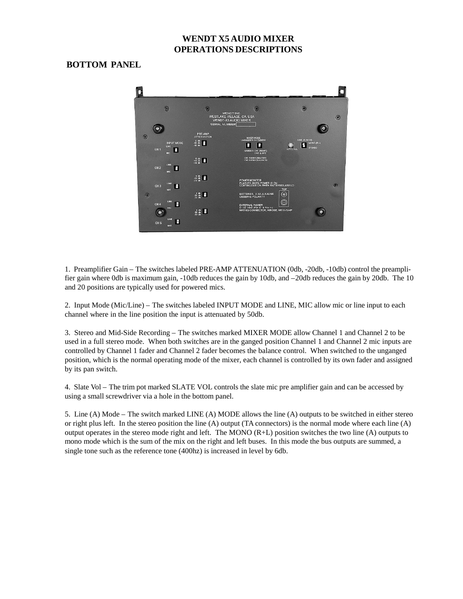# **BOTTOM PANEL**



1. Preamplifier Gain – The switches labeled PRE-AMP ATTENUATION (0db, -20db, -10db) control the preamplifier gain where 0db is maximum gain, -10db reduces the gain by 10db, and –20db reduces the gain by 20db. The 10 and 20 positions are typically used for powered mics.

2. Input Mode (Mic/Line) – The switches labeled INPUT MODE and LINE, MIC allow mic or line input to each channel where in the line position the input is attenuated by 50db.

3. Stereo and Mid-Side Recording – The switches marked MIXER MODE allow Channel 1 and Channel 2 to be used in a full stereo mode. When both switches are in the ganged position Channel 1 and Channel 2 mic inputs are controlled by Channel 1 fader and Channel 2 fader becomes the balance control. When switched to the unganged position, which is the normal operating mode of the mixer, each channel is controlled by its own fader and assigned by its pan switch.

4. Slate Vol – The trim pot marked SLATE VOL controls the slate mic pre amplifier gain and can be accessed by using a small screwdriver via a hole in the bottom panel.

5. Line (A) Mode – The switch marked LINE (A) MODE allows the line (A) outputs to be switched in either stereo or right plus left. In the stereo position the line (A) output (TA connectors) is the normal mode where each line (A) output operates in the stereo mode right and left. The MONO (R+L) position switches the two line (A) outputs to mono mode which is the sum of the mix on the right and left buses. In this mode the bus outputs are summed, a single tone such as the reference tone (400hz) is increased in level by 6db.